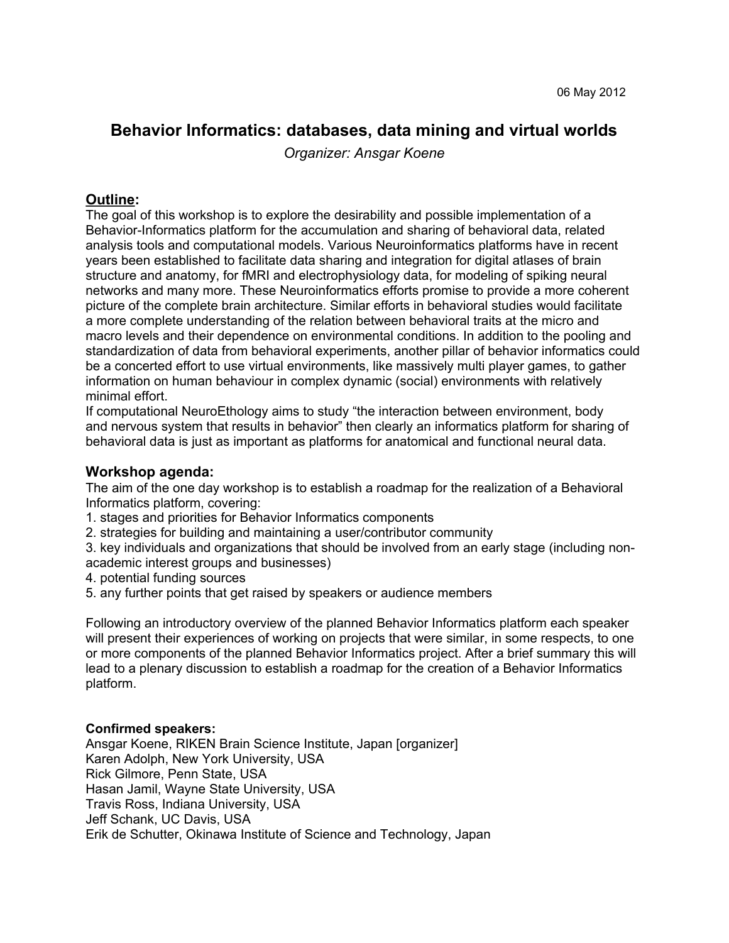# **Behavior Informatics: databases, data mining and virtual worlds**

*Organizer: Ansgar Koene*

## **Outline:**

The goal of this workshop is to explore the desirability and possible implementation of a Behavior-Informatics platform for the accumulation and sharing of behavioral data, related analysis tools and computational models. Various Neuroinformatics platforms have in recent years been established to facilitate data sharing and integration for digital atlases of brain structure and anatomy, for fMRI and electrophysiology data, for modeling of spiking neural networks and many more. These Neuroinformatics efforts promise to provide a more coherent picture of the complete brain architecture. Similar efforts in behavioral studies would facilitate a more complete understanding of the relation between behavioral traits at the micro and macro levels and their dependence on environmental conditions. In addition to the pooling and standardization of data from behavioral experiments, another pillar of behavior informatics could be a concerted effort to use virtual environments, like massively multi player games, to gather information on human behaviour in complex dynamic (social) environments with relatively minimal effort.

If computational NeuroEthology aims to study "the interaction between environment, body and nervous system that results in behavior" then clearly an informatics platform for sharing of behavioral data is just as important as platforms for anatomical and functional neural data.

### **Workshop agenda:**

The aim of the one day workshop is to establish a roadmap for the realization of a Behavioral Informatics platform, covering:

- 1. stages and priorities for Behavior Informatics components
- 2. strategies for building and maintaining a user/contributor community
- 3. key individuals and organizations that should be involved from an early stage (including nonacademic interest groups and businesses)
- 4. potential funding sources
- 5. any further points that get raised by speakers or audience members

Following an introductory overview of the planned Behavior Informatics platform each speaker will present their experiences of working on projects that were similar, in some respects, to one or more components of the planned Behavior Informatics project. After a brief summary this will lead to a plenary discussion to establish a roadmap for the creation of a Behavior Informatics platform.

### **Confirmed speakers:**

Ansgar Koene, RIKEN Brain Science Institute, Japan [organizer] Karen Adolph, New York University, USA Rick Gilmore, Penn State, USA Hasan Jamil, Wayne State University, USA Travis Ross, Indiana University, USA Jeff Schank, UC Davis, USA Erik de Schutter, Okinawa Institute of Science and Technology, Japan